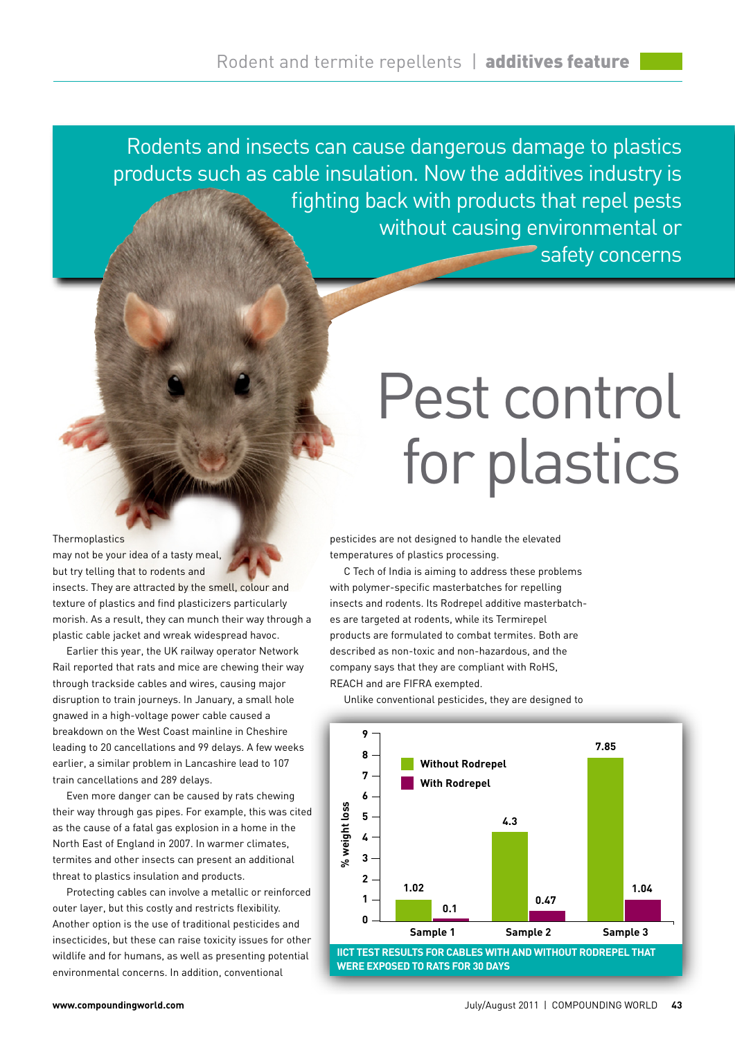Rodents and insects can cause dangerous damage to plastics products such as cable insulation. Now the additives industry is fighting back with products that repel pests without causing environmental or safety concerns

## **Thermoplastics**

may not be your idea of a tasty meal, but try telling that to rodents and insects. They are attracted by the smell, colour and texture of plastics and find plasticizers particularly morish. As a result, they can munch their way through a plastic cable jacket and wreak widespread havoc.

Earlier this year, the UK railway operator Network Rail reported that rats and mice are chewing their way through trackside cables and wires, causing major disruption to train journeys. In January, a small hole gnawed in a high-voltage power cable caused a breakdown on the West Coast mainline in Cheshire leading to 20 cancellations and 99 delays. A few weeks earlier, a similar problem in Lancashire lead to 107 train cancellations and 289 delays.

Even more danger can be caused by rats chewing their way through gas pipes. For example, this was cited as the cause of a fatal gas explosion in a home in the North East of England in 2007. In warmer climates, termites and other insects can present an additional threat to plastics insulation and products.

Protecting cables can involve a metallic or reinforced outer layer, but this costly and restricts flexibility. Another option is the use of traditional pesticides and insecticides, but these can raise toxicity issues for other wildlife and for humans, as well as presenting potential environmental concerns. In addition, conventional

## Pest control for plastics

pesticides are not designed to handle the elevated temperatures of plastics processing.

C Tech of India is aiming to address these problems with polymer-specific masterbatches for repelling insects and rodents. Its Rodrepel additive masterbatches are targeted at rodents, while its Termirepel products are formulated to combat termites. Both are described as non-toxic and non-hazardous, and the company says that they are compliant with RoHS, REACH and are FIFRA exempted.

Unlike conventional pesticides, they are designed to